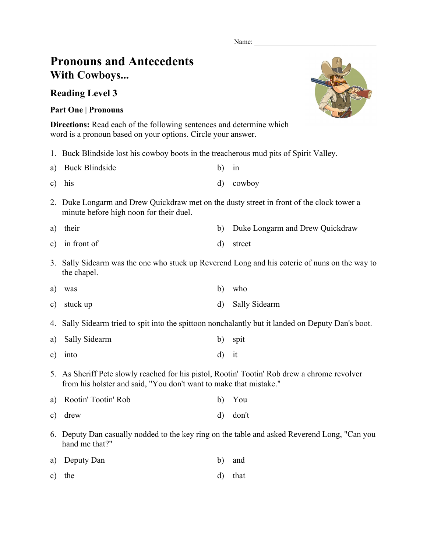Name:

## **Pronouns and Antecedents With Cowboys...**

## **Reading Level 3**

## **Part One | Pronouns**

**Directions:** Read each of the following sentences and determine which word is a pronoun based on your options. Circle your answer.

1. Buck Blindside lost his cowboy boots in the treacherous mud pits of Spirit Valley.

| a) Buck Blindside | $b)$ in |           |
|-------------------|---------|-----------|
| $c)$ his          |         | d) cowboy |

- 2. Duke Longarm and Drew Quickdraw met on the dusty street in front of the clock tower a minute before high noon for their duel.
- a) their b) Duke Longarm and Drew Quickdraw
- c) in front of d) street
- 3. Sally Sidearm was the one who stuck up Reverend Long and his coterie of nuns on the way to the chapel.
- a) was b) who
- c) stuck up d) Sally Sidearm
- 4. Sally Sidearm tried to spit into the spittoon nonchalantly but it landed on Deputy Dan's boot.
- a) Sally Sidearm b) spit
- c) into d) it
- 5. As Sheriff Pete slowly reached for his pistol, Rootin' Tootin' Rob drew a chrome revolver from his holster and said, "You don't want to make that mistake."
- a) Rootin' Tootin' Rob b) You
- c) drew d) don't
- 6. Deputy Dan casually nodded to the key ring on the table and asked Reverend Long, "Can you hand me that?"
- a) Deputy Dan b) and
- c) the d) that

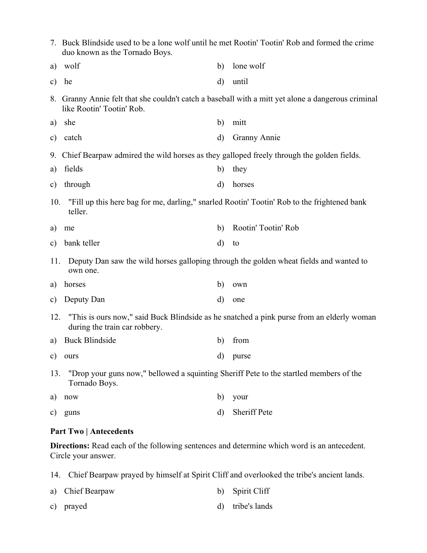|               | 7. Buck Blindside used to be a lone wolf until he met Rootin' Tootin' Rob and formed the crime<br>duo known as the Tornado Boys. |              |                     |  |  |
|---------------|----------------------------------------------------------------------------------------------------------------------------------|--------------|---------------------|--|--|
| a)            | wolf                                                                                                                             | b)           | lone wolf           |  |  |
| $\mathbf{c})$ | he                                                                                                                               | $\mathbf{d}$ | until               |  |  |
|               | 8. Granny Annie felt that she couldn't catch a baseball with a mitt yet alone a dangerous criminal<br>like Rootin' Tootin' Rob.  |              |                     |  |  |
| a)            | she                                                                                                                              | b)           | mitt                |  |  |
| $\mathbf{c})$ | catch                                                                                                                            | $\rm d$      | Granny Annie        |  |  |
|               | 9. Chief Bearpaw admired the wild horses as they galloped freely through the golden fields.                                      |              |                     |  |  |
| a)            | fields                                                                                                                           | b)           | they                |  |  |
| $\mathbf{c})$ | through                                                                                                                          | $\rm d$      | horses              |  |  |
| 10.           | "Fill up this here bag for me, darling," snarled Rootin' Tootin' Rob to the frightened bank<br>teller.                           |              |                     |  |  |
| a)            | me                                                                                                                               | b)           | Rootin' Tootin' Rob |  |  |
| $\mathbf{c})$ | bank teller                                                                                                                      | $\mathbf{d}$ | to                  |  |  |
| 11.           | Deputy Dan saw the wild horses galloping through the golden wheat fields and wanted to<br>own one.                               |              |                     |  |  |
| a)            | horses                                                                                                                           | b)           | own                 |  |  |
| $\mathbf{c})$ | Deputy Dan                                                                                                                       | d)           | one                 |  |  |
| 12.           | "This is ours now," said Buck Blindside as he snatched a pink purse from an elderly woman<br>during the train car robbery.       |              |                     |  |  |
| a)            | <b>Buck Blindside</b>                                                                                                            | b)           | from                |  |  |
| $\mathbf{c})$ | ours                                                                                                                             | $\rm d$      | purse               |  |  |
| 13.           | "Drop your guns now," bellowed a squinting Sheriff Pete to the startled members of the<br>Tornado Boys.                          |              |                     |  |  |
| a)            | now                                                                                                                              | b)           | your                |  |  |
| C)            | guns                                                                                                                             | $\rm d$      | Sheriff Pete        |  |  |

## **Part Two | Antecedents**

**Directions:** Read each of the following sentences and determine which word is an antecedent. Circle your answer.

14. Chief Bearpaw prayed by himself at Spirit Cliff and overlooked the tribe's ancient lands.

| a) Chief Bearpaw | b) Spirit Cliff  |
|------------------|------------------|
| c) prayed        | d) tribe's lands |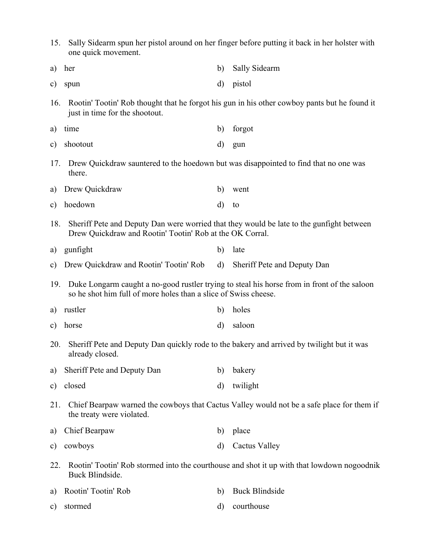15. Sally Sidearm spun her pistol around on her finger before putting it back in her holster with one quick movement. a) her b) Sally Sidearm c) spun d) pistol 16. Rootin' Tootin' Rob thought that he forgot his gun in his other cowboy pants but he found it just in time for the shootout. a) time b) forgot c) shootout d) gun 17. Drew Quickdraw sauntered to the hoedown but was disappointed to find that no one was there. a) Drew Quickdraw b) went c) hoedown d) to 18. Sheriff Pete and Deputy Dan were worried that they would be late to the gunfight between Drew Quickdraw and Rootin' Tootin' Rob at the OK Corral. a) gunfight b) late c) Drew Quickdraw and Rootin' Tootin' Rob d) Sheriff Pete and Deputy Dan 19. Duke Longarm caught a no-good rustler trying to steal his horse from in front of the saloon so he shot him full of more holes than a slice of Swiss cheese. a) rustler b) holes c) horse d) saloon 20. Sheriff Pete and Deputy Dan quickly rode to the bakery and arrived by twilight but it was already closed. a) Sheriff Pete and Deputy Dan b) bakery c) closed d) twilight 21. Chief Bearpaw warned the cowboys that Cactus Valley would not be a safe place for them if the treaty were violated. a) Chief Bearpaw b) place c) cowboys d) Cactus Valley 22. Rootin' Tootin' Rob stormed into the courthouse and shot it up with that lowdown nogoodnik Buck Blindside. a) Rootin' Tootin' Rob b) Buck Blindside c) stormed d) courthouse